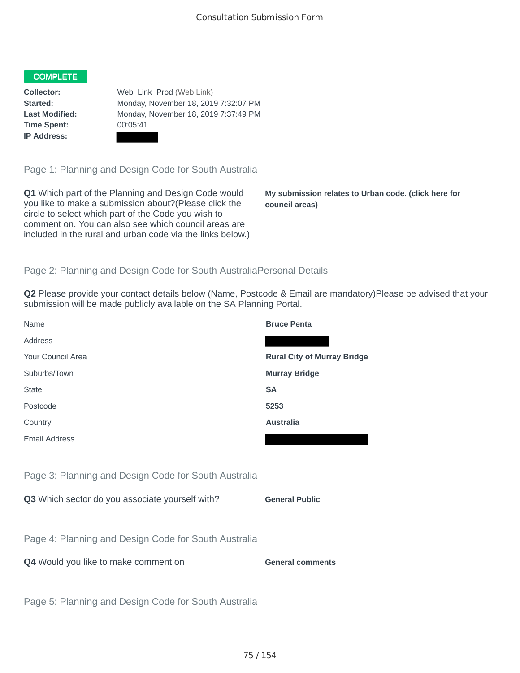## COMPLETE

**Time Spent:** 00:05:41 **IP Address:**

**Collector:** Web\_Link\_Prod (Web Link) **Started:** Monday, November 18, 2019 7:32:07 PM **Last Modified:** Monday, November 18, 2019 7:37:49 PM

Page 1: Planning and Design Code for South Australia

**Q1** Which part of the Planning and Design Code would you like to make a submission about?(Please click the circle to select which part of the Code you wish to comment on. You can also see which council areas are included in the rural and urban code via the links below.)

**My submission relates to Urban code. (click here for council areas)**

## Page 2: Planning and Design Code for South AustraliaPersonal Details

**Q2** Please provide your contact details below (Name, Postcode & Email are mandatory)Please be advised that your submission will be made publicly available on the SA Planning Portal.

| Name                                                 | <b>Bruce Penta</b>                 |
|------------------------------------------------------|------------------------------------|
| Address                                              |                                    |
| Your Council Area                                    | <b>Rural City of Murray Bridge</b> |
| Suburbs/Town                                         | <b>Murray Bridge</b>               |
| <b>State</b>                                         | <b>SA</b>                          |
| Postcode                                             | 5253                               |
| Country                                              | <b>Australia</b>                   |
| <b>Email Address</b>                                 |                                    |
|                                                      |                                    |
| Page 3: Planning and Design Code for South Australia |                                    |
| Q3 Which sector do you associate yourself with?      | <b>General Public</b>              |
|                                                      |                                    |
| Page 4: Planning and Design Code for South Australia |                                    |
| Q4 Would you like to make comment on                 | <b>General comments</b>            |
|                                                      |                                    |
|                                                      |                                    |
| Page 5: Planning and Design Code for South Australia |                                    |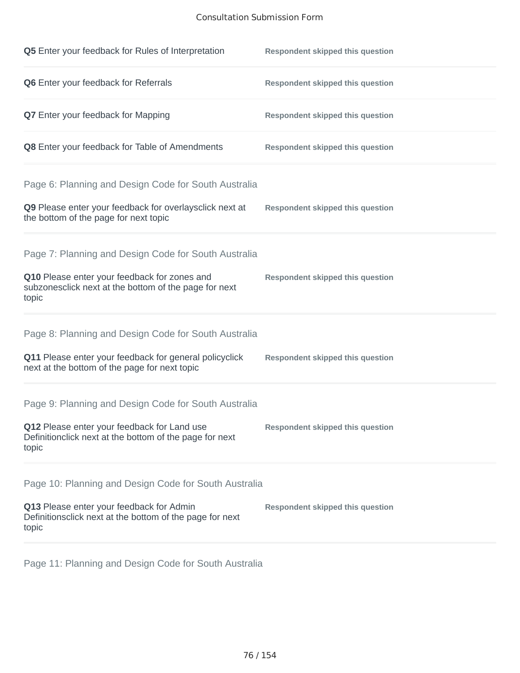## Consultation Submission Form

| Q5 Enter your feedback for Rules of Interpretation                                                              | <b>Respondent skipped this question</b> |
|-----------------------------------------------------------------------------------------------------------------|-----------------------------------------|
| Q6 Enter your feedback for Referrals                                                                            | <b>Respondent skipped this question</b> |
| <b>Q7</b> Enter your feedback for Mapping                                                                       | <b>Respondent skipped this question</b> |
| Q8 Enter your feedback for Table of Amendments                                                                  | <b>Respondent skipped this question</b> |
| Page 6: Planning and Design Code for South Australia                                                            |                                         |
| Q9 Please enter your feedback for overlaysclick next at<br>the bottom of the page for next topic                | <b>Respondent skipped this question</b> |
| Page 7: Planning and Design Code for South Australia                                                            |                                         |
| Q10 Please enter your feedback for zones and<br>subzonesclick next at the bottom of the page for next<br>topic  | <b>Respondent skipped this question</b> |
| Page 8: Planning and Design Code for South Australia                                                            |                                         |
| Q11 Please enter your feedback for general policyclick<br>next at the bottom of the page for next topic         | <b>Respondent skipped this question</b> |
| Page 9: Planning and Design Code for South Australia                                                            |                                         |
| Q12 Please enter your feedback for Land use<br>Definitionclick next at the bottom of the page for next<br>topic | <b>Respondent skipped this question</b> |
| Page 10: Planning and Design Code for South Australia                                                           |                                         |
| Q13 Please enter your feedback for Admin<br>Definitionsclick next at the bottom of the page for next<br>topic   | <b>Respondent skipped this question</b> |

Page 11: Planning and Design Code for South Australia